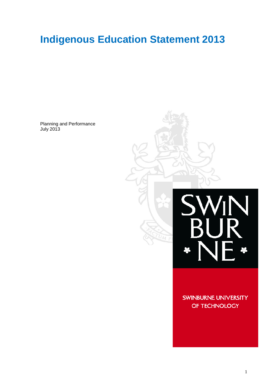# **Indigenous Education Statement 2013**

Planning and Performance July 2013



**SWINBURNE UNIVERSITY** OF TECHNOLOGY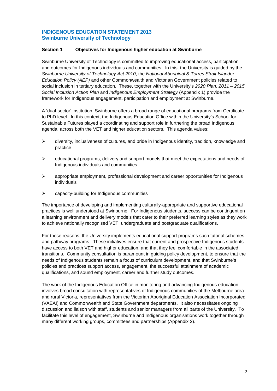# **INDIGENOUS EDUCATION STATEMENT 2013 Swinburne University of Technology**

# **Section 1 Objectives for Indigenous higher education at Swinburne**

Swinburne University of Technology is committed to improving educational access, participation and outcomes for Indigenous individuals and communities. In this, the University is guided by the *Swinburne University of Technology Act 2010*, the *National Aboriginal & Torres Strait Islander Education Policy (AEP)* and other Commonwealth and Victorian Government policies related to social inclusion in tertiary education. These, together with the University's *2020 Plan*, *2011 – 2015 Social Inclusion Action Plan* and *Indigenous Employment Strategy* (Appendix 1) provide the framework for Indigenous engagement, participation and employment at Swinburne.

A 'dual-sector' institution, Swinburne offers a broad range of educational programs from Certificate to PhD level. In this context, the Indigenous Education Office within the University's School for Sustainable Futures played a coordinating and support role in furthering the broad Indigenous agenda, across both the VET and higher education sectors. This agenda values:

- $\triangleright$  diversity, inclusiveness of cultures, and pride in Indigenous identity, tradition, knowledge and practice
- $\triangleright$  educational programs, delivery and support models that meet the expectations and needs of Indigenous individuals and communities
- $\triangleright$  appropriate employment, professional development and career opportunities for Indigenous individuals
- $\triangleright$  capacity-building for Indigenous communities

The importance of developing and implementing culturally-appropriate and supportive educational practices is well understood at Swinburne. For Indigenous students, success can be contingent on a learning environment and delivery models that cater to their preferred learning styles as they work to achieve nationally recognised VET, undergraduate and postgraduate qualifications.

For these reasons, the University implements educational support programs such tutorial schemes and pathway programs. These initiatives ensure that current and prospective Indigenous students have access to both VET and higher education, and that they feel comfortable in the associated transitions. Community consultation is paramount in guiding policy development, to ensure that the needs of Indigenous students remain a focus of curriculum development, and that Swinburne's policies and practices support access, engagement, the successful attainment of academic qualifications, and sound employment, career and further study outcomes.

The work of the Indigenous Education Office in monitoring and advancing Indigenous education involves broad consultation with representatives of Indigenous communities of the Melbourne area and rural Victoria, representatives from the Victorian Aboriginal Education Association Incorporated (VAEAI) and Commonwealth and State Government departments. It also necessitates ongoing discussion and liaison with staff, students and senior managers from all parts of the University. To facilitate this level of engagement, Swinburne and Indigenous organisations work together through many different working groups, committees and partnerships (Appendix 2).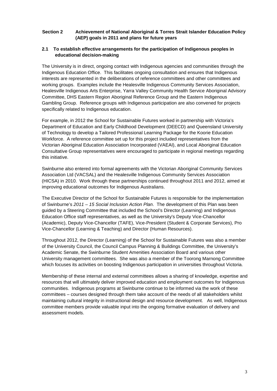# **Section 2 Achievement of National Aboriginal & Torres Strait Islander Education Policy (AEP) goals in 2011 and plans for future years**

# **2.1 To establish effective arrangements for the participation of Indigenous peoples in educational decision-making**

The University is in direct, ongoing contact with Indigenous agencies and communities through the Indigenous Education Office. This facilitates ongoing consultation and ensures that Indigenous interests are represented in the deliberations of reference committees and other committees and working groups. Examples include the Healesville Indigenous Community Services Association, Healesville Indigenous Arts Enterprise, Yarra Valley Community Health Service Aboriginal Advisory Committee, DHS Eastern Region Aboriginal Reference Group and the Eastern Indigenous Gambling Group. Reference groups with Indigenous participation are also convened for projects specifically related to Indigenous education.

For example, in 2012 the School for Sustainable Futures worked in partnership with Victoria's Department of Education and Early Childhood Development (DEECD) and Queensland University of Technology to develop a Tailored Professional Learning Package for the Koorie Education Workforce. A reference committee set up for this project included representatives from the Victorian Aboriginal Education Association Incorporated (VAEAI), and Local Aboriginal Education Consultative Group representatives were encouraged to participate in regional meetings regarding this initiative.

Swinburne also entered into formal agreements with the Victorian Aboriginal Community Services Association Ltd (VACSAL) and the Healesville Indigenous Community Services Association (HICSA) in 2010. Work through these partnerships continued throughout 2011 and 2012, aimed at improving educational outcomes for Indigenous Australians.

The Executive Director of the School for Sustainable Futures is responsible for the implementation of Swinburne's *2011 – 15 Social Inclusion Action Plan*. The development of this Plan was been guided by a Steering Committee that included the School's Director (Learning) and Indigenous Education Office staff representatives, as well as the University's Deputy Vice-Chancellor (Academic), Deputy Vice-Chancellor (TAFE), Vice-President (Student & Corporate Services), Pro Vice-Chancellor (Learning & Teaching) and Director (Human Resources).

Throughout 2012, the Director (Learning) of the School for Sustainable Futures was also a member of the University Council, the Council Campus Planning & Buildings Committee, the University's Academic Senate, the Swinburne Student Amenities Association Board and various other University management committees. She was also a member of the Toorong Marnong Committee which focuses its activities on boosting Indigenous participation in universities throughout Victoria.

Membership of these internal and external committees allows a sharing of knowledge, expertise and resources that will ultimately deliver improved education and employment outcomes for Indigenous communities. Indigenous programs at Swinburne continue to be informed via the work of these committees – courses designed through them take account of the needs of all stakeholders whilst maintaining cultural integrity in instructional design and resource development. As well, Indigenous committee members provide valuable input into the ongoing formative evaluation of delivery and assessment models.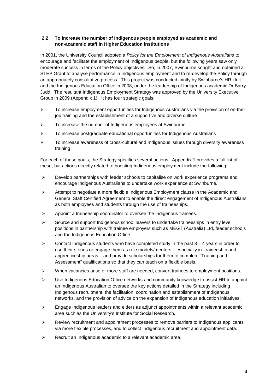# **2.2 To increase the number of Indigenous people employed as academic and non-academic staff in Higher Education institutions**

In 2001, the University Council adopted a *Policy for the Employment of Indigenous Australians* to encourage and facilitate the employment of Indigenous people, but the following years saw only moderate success in terms of the Policy objectives. So, in 2007, Swinburne sought and obtained a STEP Grant to analyse performance in Indigenous employment and to re-develop the Policy through an appropriately consultative process. This project was conducted jointly by Swinburne's HR Unit and the Indigenous Education Office in 2008, under the leadership of Indigenous academic Dr Barry Judd. The resultant Indigenous Employment Strategy was approved by the University Executive Group in 2009 (Appendix 1). It has four strategic goals:

- $\triangleright$  To increase employment opportunities for Indigenous Australians via the provision of on-thejob training and the establishment of a supportive and diverse culture
- $\triangleright$  To increase the number of Indigenous employees at Swinburne
- > To increase postgraduate educational opportunities for Indigenous Australians
- $\triangleright$  To increase awareness of cross-cultural and Indigenous issues through diversity awareness training

For each of these goals, the Strategy specifies several actions. Appendix 1 provides a full list of these, but actions directly related to boosting Indigenous employment include the following:

- $\triangleright$  Develop partnerships with feeder schools to capitalise on work experience programs and encourage Indigenous Australians to undertake work experience at Swinburne.
- $\triangleright$  Attempt to negotiate a more flexible Indigenous Employment clause in the Academic and General Staff Certified Agreement to enable the direct engagement of Indigenous Australians as both employees and students through the use of traineeships.
- $\triangleright$  Appoint a traineeship coordinator to oversee the Indigenous trainees.
- $\geq$  Source and support Indigenous school leavers to undertake traineeships in entry level positions in partnership with trainee employers such as MEGT (Australia) Ltd, feeder schools and the Indigenous Education Office.
- $\triangleright$  Contact Indigenous students who have completed study in the past  $3 4$  years in order to use their stories or engage them as role models/mentors – especially in traineeship and apprenticeship areas – and provide scholarships for them to complete "Training and Assessment" qualifications so that they can teach on a flexible basis.
- $\triangleright$  When vacancies arise or more staff are needed, convert trainees to employment positions.
- $\triangleright$  Use Indigenous Education Office networks and community knowledge to assist HR to appoint an Indigenous Australian to oversee the key actions detailed in the Strategy including Indigenous recruitment, the facilitation, coordination and establishment of Indigenous networks, and the provision of advice on the expansion of Indigenous education initiatives.
- $\triangleright$  Engage Indigenous leaders and elders as adjunct appointments within a relevant academic area such as the University's Institute for Social Research.
- $\triangleright$  Review recruitment and appointment processes to remove barriers to Indigenous applicants via more flexible processes, and to collect Indigenous recruitment and appointment data.
- $\triangleright$  Recruit an Indigenous academic to a relevant academic area.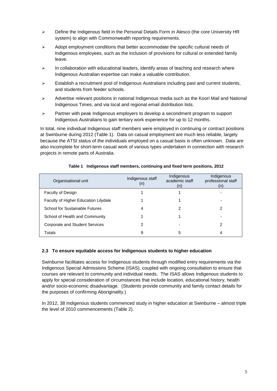- $\triangleright$  Define the Indigenous field in the Personal Details Form in Alesco (the core University HR system) to align with Commonwealth reporting requirements.
- $\triangleright$  Adopt employment conditions that better accommodate the specific cultural needs of Indigenous employees, such as the inclusion of provisions for cultural or extended family leave.
- $\triangleright$  In collaboration with educational leaders, identify areas of teaching and research where Indigenous Australian expertise can make a valuable contribution.
- $\triangleright$  Establish a recruitment pool of Indigenous Australians including past and current students, and students from feeder schools.
- Advertise relevant positions in national Indigenous media such as the Koori Mail and National Indigenous Times, and via local and regional email distribution lists.
- $\triangleright$  Partner with peak Indigenous employers to develop a secondment program to support Indigenous Australians to gain tertiary work experience for up to 12 months.

In total, nine individual Indigenous staff members were employed in continuing or contract positions at Swinburne during 2012 (Table 1). Data on casual employment are much less reliable, largely because the ATSI status of the individuals employed on a casual basis is often unknown. Data are also incomplete for short-term casual work of various types undertaken in connection with research projects in remote parts of Australia.

| Organisational unit                   | Indigenous staff<br>(n) | Indigenous<br>academic staff<br>(n) | Indigenous<br>professional staff<br>(n) |
|---------------------------------------|-------------------------|-------------------------------------|-----------------------------------------|
| Faculty of Design                     |                         |                                     |                                         |
| Faculty of Higher Education Lilydale  |                         |                                     |                                         |
| School for Sustainable Futures        | 4                       |                                     | າ                                       |
| School of Health and Community        |                         |                                     |                                         |
| <b>Corporate and Student Services</b> |                         |                                     | 2                                       |
| Totals                                | 9                       | 5                                   | 4                                       |

#### **Table 1 Indigenous staff members, continuing and fixed term positions, 2012**

#### **2.3 To ensure equitable access for Indigenous students to higher education**

Swinburne facilitates access for Indigenous students through modified entry requirements via the Indigenous Special Admissions Scheme (ISAS), coupled with ongoing consultation to ensure that courses are relevant to community and individual needs. The ISAS allows Indigenous students to apply for special consideration of circumstances that include location, educational history, health and/or socio-economic disadvantage. (Students provide community and family contact details for the purposes of confirming Aboriginality.)

In 2012, 38 Indigenous students commenced study in higher education at Swinburne – almost triple the level of 2010 commencements (Table 2).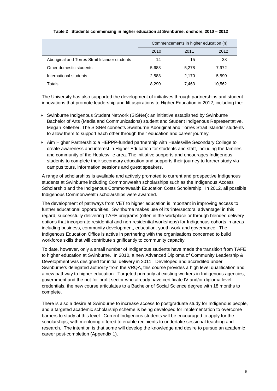|                                                | Commencements in higher education (n) |       |        |  |
|------------------------------------------------|---------------------------------------|-------|--------|--|
|                                                | 2010                                  | 2011  | 2012   |  |
| Aboriginal and Torres Strait Islander students | 14                                    | 15    | 38     |  |
| Other domestic students                        | 5,688                                 | 5,278 | 7,972  |  |
| International students                         | 2,588                                 | 2,170 | 5,590  |  |
| Totals                                         | 8.290                                 | 7,463 | 10,562 |  |

#### **Table 2 Students commencing in higher education at Swinburne, onshore, 2010 – 2012**

The University has also supported the development of initiatives through partnerships and student innovations that promote leadership and lift aspirations to Higher Education in 2012, including the:

- $\triangleright$  Swinburne Indigenous Student Network (SISNet): an initiative established by Swinburne Bachelor of Arts (Media and Communications) student and Student Indigenous Representative, Megan Kelleher. The SISNet connects Swinburne Aboriginal and Torres Strait Islander students to allow them to support each other through their education and career journey.
- $\triangleright$  Aim Higher Partnership: a HEPPP-funded partnership with Healesville Secondary College to create awareness and interest in Higher Education for students and staff, including the families and community of the Healesville area. The initiative supports and encourages Indigenous students to complete their secondary education and supports their journey to further study via campus tours, information sessions and guest speakers.

A range of scholarships is available and actively promoted to current and prospective Indigenous students at Swinburne including Commonwealth scholarships such as the Indigenous Access Scholarship and the Indigenous Commonwealth Education Costs Scholarship. In 2012, all possible Indigenous Commonwealth scholarships were awarded.

The development of pathways from VET to higher education is important in improving access to further educational opportunities. Swinburne makes use of its 'intersectoral advantage' in this regard, successfully delivering TAFE programs (often in the workplace or through blended delivery options that incorporate residential and non-residential workshops) for Indigenous cohorts in areas including business, community development, education, youth work and governance. The Indigenous Education Office is active in partnering with the organisations concerned to build workforce skills that will contribute significantly to community capacity.

To date, however, only a small number of Indigenous students have made the transition from TAFE to higher education at Swinburne. In 2010, a new Advanced Diploma of Community Leadership & Development was designed for initial delivery in 2011. Developed and accredited under Swinburne's delegated authority from the VRQA, this course provides a high level qualification and a new pathway to higher education. Targeted primarily at existing workers in Indigenous agencies, government and the not-for-profit sector who already have certificate IV and/or diploma level credentials, the new course articulates to a Bachelor of Social Science degree with 18 months to complete.

There is also a desire at Swinburne to increase access to postgraduate study for Indigenous people, and a targeted academic scholarship scheme is being developed for implementation to overcome barriers to study at this level. Current Indigenous students will be encouraged to apply for the scholarships, with mentoring offered to enable recipients to undertake sessional teaching and research. The intention is that some will develop the knowledge and desire to pursue an academic career post-completion (Appendix 1).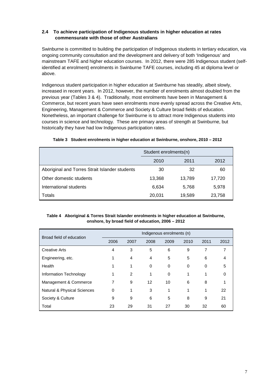# **2.4 To achieve participation of Indigenous students in higher education at rates commensurate with those of other Australians**

Swinburne is committed to building the participation of Indigenous students in tertiary education, via ongoing community consultation and the development and delivery of both 'Indigenous' and mainstream TAFE and higher education courses. In 2012, there were 285 Indigenous student (selfidentified at enrolment) enrolments in Swinburne TAFE courses, including 45 at diploma level or above.

Indigenous student participation in higher education at Swinburne has steadily, albeit slowly, increased in recent years. In 2012, however, the number of enrolments almost doubled from the previous year (Tables 3 & 4). Traditionally, most enrolments have been in Management & Commerce, but recent years have seen enrolments more evenly spread across the Creative Arts, Engineering, Management & Commerce and Society & Culture broad fields of education. Nonetheless, an important challenge for Swinburne is to attract more Indigenous students into courses in science and technology. These are primary areas of strength at Swinburne, but historically they have had low Indigenous participation rates.

|                                                | Student enrolments(n) |        |        |
|------------------------------------------------|-----------------------|--------|--------|
|                                                | 2010                  | 2011   | 2012   |
| Aboriginal and Torres Strait Islander students | 30                    | 32     | 60     |
| Other domestic students                        | 13,368                | 13.789 | 17,720 |
| International students                         | 6,634                 | 5,768  | 5,978  |
| Totals                                         | 20,031                | 19,589 | 23,758 |

# **Table 3 Student enrolments in higher education at Swinburne, onshore, 2010 – 2012**

#### **Table 4 Aboriginal & Torres Strait Islander enrolments in higher education at Swinburne, onshore, by broad field of education, 2006 – 2012**

|                             | Indigenous enrolments (n) |      |                   |      |          |      |          |
|-----------------------------|---------------------------|------|-------------------|------|----------|------|----------|
| Broad field of education    | 2006                      | 2007 | 2008              | 2009 | 2010     | 2011 | 2012     |
| <b>Creative Arts</b>        | 4                         | 3    | 5                 | 6    | 9        | 7    | 7        |
| Engineering, etc.           | 1                         | 4    | 4                 | 5    | 5        | 6    | 4        |
| Health                      | 1                         | 1    | $\Omega$          | 0    | $\Omega$ | 0    | 5        |
| Information Technology      | 1                         | 2    | 1                 | 0    | 1        | 1    | $\Omega$ |
| Management & Commerce       | 7                         | 9    | $12 \overline{ }$ | 10   | 6        | 8    |          |
| Natural & Physical Sciences | $\Omega$                  | 1    | 3                 | 1    | 1        | 1    | 22       |
| Society & Culture           | 9                         | 9    | 6                 | 5    | 8        | 9    | 21       |
| Total                       | 23                        | 29   | 31                | 27   | 30       | 32   | 60       |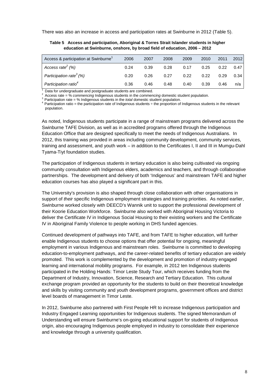There was also an increase in access and participation rates at Swinburne in 2012 (Table 5).

| Table 5 Access and participation, Aboriginal & Torres Strait Islander students in higher |  |  |
|------------------------------------------------------------------------------------------|--|--|
| education at Swinburne, onshore, by broad field of education, 2006 - 2012                |  |  |

| Access & participation at Swinburne <sup>1</sup> | 2006 | 2007 | 2008 | 2009 | 2010 | 2011 | 2012 |
|--------------------------------------------------|------|------|------|------|------|------|------|
| Access rate <sup>2</sup> (%)                     | 0.24 | 0.39 | 0.28 | 0.17 | 0.25 | 0.22 | 0.47 |
| Participation rate <sup>3</sup> (%)              | 0.20 | 0.26 | 0.27 | 0.22 | 0.22 | 0.29 | 0.34 |
| Participation ratio <sup>4</sup>                 | 0.36 | 0.46 | 0.48 | 0.40 | 0.39 | 0.46 | n/a  |

 $\frac{1}{2}$  Data for undergraduate and postgraduate students are combined.<br>
<sup>2</sup> Access rate = % commencing Indigenous students in the commencing domestic student population.<br>
<sup>3</sup> Participation rate = % Indigenous students i population.

As noted, Indigenous students participate in a range of mainstream programs delivered across the Swinburne TAFE Division, as well as in accredited programs offered through the Indigenous Education Office that are designed specifically to meet the needs of Indigenous Australians. In 2012, this training was provided in areas including community development, community services, training and assessment, and youth work – in addition to the Certificates I, II and III in Mumgu-Dahl Tyama-Tiyt foundation studies.

The participation of Indigenous students in tertiary education is also being cultivated via ongoing community consultation with Indigenous elders, academics and teachers, and through collaborative partnerships. The development and delivery of both 'Indigenous' and mainstream TAFE and higher education courses has also played a significant part in this.

The University's provision is also shaped through close collaboration with other organisations in support of *their* specific Indigenous employment strategies and training priorities. As noted earlier, Swinburne worked closely with DEECD's Wannik unit to support the professional development of their Koorie Education Workforce. Swinburne also worked with Aboriginal Housing Victoria to deliver the Certificate IV in Indigenous Social Housing to their existing workers and the Certificate IV in Aboriginal Family Violence to people working in DHS funded agencies.

Continued development of pathways into TAFE, and from TAFE to higher education, will further enable Indigenous students to choose options that offer potential for ongoing, meaningful employment in various Indigenous and mainstream roles. Swinburne is committed to developing education-to-employment pathways, and the career-related benefits of tertiary education are widely promoted. This work is complemented by the development and promotion of industry engaged learning and international mobility programs. For example, in 2012 ten Indigenous students participated in the Holding Hands: Timor Leste Study Tour, which receives funding from the Department of Industry, Innovation, Science, Research and Tertiary Education. This cultural exchange program provided an opportunity for the students to build on their theoretical knowledge and skills by visiting community and youth development programs, government offices and district level boards of management in Timor Leste.

In 2012, Swinburne also partnered with First People HR to increase Indigenous participation and Industry Engaged Learning opportunities for Indigenous students. The signed Memorandum of Understanding will ensure Swinburne's on-going educational support for students of Indigenous origin, also encouraging Indigenous people employed in industry to consolidate their experience and knowledge through a university qualification.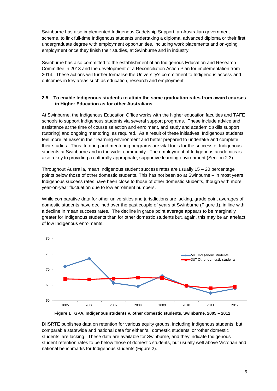Swinburne has also implemented Indigenous Cadetship Support, an Australian government scheme, to link full-time Indigenous students undertaking a diploma, advanced diploma or their first undergraduate degree with employment opportunities, including work placements and on-going employment once they finish their studies, at Swinburne and in industry.

Swinburne has also committed to the establishment of an Indigenous Education and Research Committee in 2013 and the development of a Reconciliation Action Plan for implementation from 2014. These actions will further formalise the University's commitment to Indigenous access and outcomes in key areas such as education, research and employment.

# **2.5 To enable Indigenous students to attain the same graduation rates from award courses in Higher Education as for other Australians**

At Swinburne, the Indigenous Education Office works with the higher education faculties and TAFE schools to support Indigenous students via several support programs. These include advice and assistance at the time of course selection and enrolment, and study and academic skills support (tutoring) and ongoing mentoring, as required. As a result of these initiatives, Indigenous students feel more 'at ease' in their learning environment and better prepared to undertake and complete their studies. Thus, tutoring and mentoring programs are vital tools for the success of Indigenous students at Swinburne and in the wider community. The employment of Indigenous academics is also a key to providing a culturally-appropriate, supportive learning environment (Section 2.3).

Throughout Australia, mean Indigenous student success rates are usually 15 – 20 percentage points below those of other domestic students. This has not been so at Swinburne – in most years Indigenous success rates have been close to those of other domestic students, though with more year-on-year fluctuation due to low enrolment numbers.

While comparative data for other universities and jurisdictions are lacking, grade point averages of domestic students have declined over the past couple of years at Swinburne (Figure 1), in line with a decline in mean success rates. The decline in grade point average appears to be marginally greater for Indigenous students than for other domestic students but, again, this may be an artefact of low Indigenous enrolments.





DIISRTE publishes data on retention for various equity groups, including Indigenous students, but comparable statewide and national data for either 'all domestic students' or 'other domestic students' are lacking. These data are available for Swinburne, and they indicate Indigenous student retention rates to be below those of domestic students, but usually well above Victorian and national benchmarks for Indigenous students (Figure 2).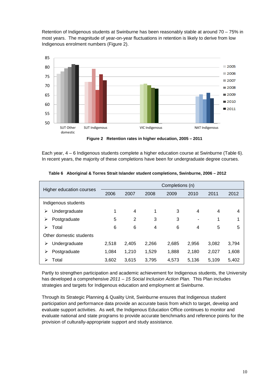Retention of Indigenous students at Swinburne has been reasonably stable at around 70 – 75% in most years. The magnitude of year-on-year fluctuations in retention is likely to derive from low Indigenous enrolment numbers (Figure 2).



**Figure 2 Retention rates in higher education, 2005 – 2011**

Each year, 4 – 6 Indigenous students complete a higher education course at Swinburne (Table 6). In recent years, the majority of these completions have been for undergraduate degree courses.

|                          |       |       |       | Completions (n) |       |       |                |
|--------------------------|-------|-------|-------|-----------------|-------|-------|----------------|
| Higher education courses | 2006  | 2007  | 2008  | 2009            | 2010  | 2011  | 2012           |
| Indigenous students      |       |       |       |                 |       |       |                |
| Undergraduate<br>⋗       | 1     | 4     | 1     | 3               | 4     | 4     | $\overline{4}$ |
| Postgraduate<br>⋗        | 5     | 2     | 3     | 3               |       | 1     | 1              |
| Total<br>⋗               | 6     | 6     | 4     | 6               | 4     | 5     | 5              |
| Other domestic students  |       |       |       |                 |       |       |                |
| Undergraduate<br>⋗       | 2,518 | 2,405 | 2,266 | 2,685           | 2,956 | 3,082 | 3,794          |
| Postgraduate<br>⋗        | 1,084 | 1,210 | 1,529 | 1,888           | 2,180 | 2,027 | 1,608          |
| Total<br>⋗               | 3,602 | 3,615 | 3,795 | 4,573           | 5,136 | 5.109 | 5,402          |

**Table 6 Aboriginal & Torres Strait Islander student completions, Swinburne, 2006 – 2012**

Partly to strengthen participation and academic achievement for Indigenous students, the University has developed a comprehensive *2011 – 15 Social Inclusion Action Plan.* This Plan includes strategies and targets for Indigenous education and employment at Swinburne.

Through its Strategic Planning & Quality Unit, Swinburne ensures that Indigenous student participation and performance data provide an accurate basis from which to target, develop and evaluate support activities. As well, the Indigenous Education Office continues to monitor and evaluate national and state programs to provide accurate benchmarks and reference points for the provision of culturally-appropriate support and study assistance.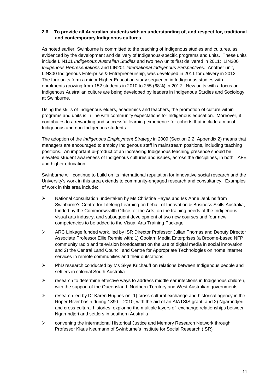# **2.6 To provide all Australian students with an understanding of, and respect for, traditional and contemporary Indigenous cultures**

As noted earlier, Swinburne is committed to the teaching of Indigenous studies and cultures, as evidenced by the development and delivery of Indigenous-specific programs and units. These units include LIN101 *Indigenous Australian Studies* and two new units first delivered in 2011: LIN200 *Indigenous Representations* and LIN201 *International Indigenous Perspectives*. Another unit, LIN300 Indigenous Enterprise & Entrepreneurship, was developed in 2011 for delivery in 2012. The four units form a minor Higher Education study sequence in Indigenous studies with enrolments growing from 152 students in 2010 to 255 (68%) in 2012. New units with a focus on Indigenous Australian culture are being developed by leaders in Indigenous Studies and Sociology at Swinburne.

Using the skills of Indigenous elders, academics and teachers, the promotion of culture within programs and units is in line with community expectations for Indigenous education. Moreover, it contributes to a rewarding and successful learning experience for cohorts that include a mix of Indigenous and non-Indigenous students.

The adoption of the *Indigenous Employment Strategy* in 2009 (Section 2.2, Appendix 2) means that managers are encouraged to employ Indigenous staff in mainstream positions, including teaching positions. An important bi-product of an increasing Indigenous teaching presence should be elevated student awareness of Indigenous cultures and issues, across the disciplines, in both TAFE and higher education.

Swinburne will continue to build on its international reputation for innovative social research and the University's work in this area extends to community-engaged research and consultancy. Examples of work in this area include:

- $\triangleright$  National consultation undertaken by Ms Christine Hayes and Ms Anne Jenkins from Swinburne's Centre for Lifelong Learning on behalf of Innovation & Business Skills Australia, funded by the Commonwealth Office for the Arts, on the training needs of the Indigenous visual arts industry, and subsequent development of two new courses and four new competencies to be added to the Visual Arts Training Package
- $\triangleright$  ARC Linkage funded work, led by ISR Director Professor Julian Thomas and Deputy Director Associate Professor Ellie Rennie with: 1) Goolarri Media Enterprises (a Broome-based NFP community radio and television broadcaster) on the use of digital media in social innovation; and 2) the Central Land Council and Centre for Appropriate Technologies on home internet services in remote communities and their outstations
- $\triangleright$  PhD research conducted by Ms Skye Krichauff on relations between Indigenous people and settlers in colonial South Australia
- $\triangleright$  research to determine effective ways to address middle ear infections in Indigenous children, with the support of the Queensland, Northern Territory and West Australian governments
- $\triangleright$  research led by Dr Karen Hughes on: 1) cross-cultural exchange and historical agency in the Roper River basin during 1890 – 2010, with the aid of an AIATSIS grant; and 2) Ngarrindjeri and cross-cultural histories, exploring the multiple layers of exchange relationships between Ngarrindjeri and settlers in southern Australia
- $\triangleright$  convening the international Historical Justice and Memory Research Network through Professor Klaus Neumann of Swinburne's Institute for Social Research (ISR)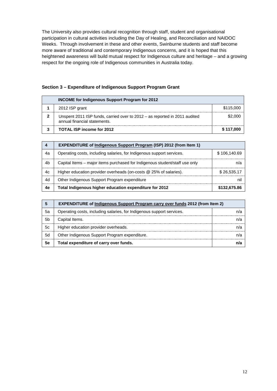The University also provides cultural recognition through staff, student and organisational participation in cultural activities including the Day of Healing, and Reconciliation and NAIDOC Weeks. Through involvement in these and other events, Swinburne students and staff become more aware of traditional and contemporary Indigenous concerns, and it is hoped that this heightened awareness will build mutual respect for Indigenous culture and heritage – and a growing respect for the ongoing role of Indigenous communities in Australia today.

| <b>INCOME for Indigenous Support Program for 2012</b>                                                      |           |
|------------------------------------------------------------------------------------------------------------|-----------|
| 2012 ISP grant                                                                                             | \$115,000 |
| Unspent 2011 ISP funds, carried over to 2012 – as reported in 2011 audited<br>annual financial statements. | \$2.000   |
| TOTAL ISP income for 2012                                                                                  | \$117.000 |

#### **Section 3 – Expenditure of Indigenous Support Program Grant**

|    | <b>EXPENDITURE of Indigenous Support Program (ISP) 2012 (from Item 1)</b>   |              |
|----|-----------------------------------------------------------------------------|--------------|
| 4a | Operating costs, including salaries, for Indigenous support services.       | \$106,140.69 |
| 4b | Capital Items – major items purchased for Indigenous student/staff use only |              |
| 4с | Higher education provider overheads (on-costs @ 25% of salaries).           | \$26,535.17  |
| 4d | Other Indigenous Support Program expenditure                                | nı           |
| 4е | Total Indigenous higher education expenditure for 2012                      | \$132,675.86 |

|     | <b>EXPENDITURE of Indigenous Support Program carry over funds 2012 (from Item 2)</b> |  |
|-----|--------------------------------------------------------------------------------------|--|
| 5а  | Operating costs, including salaries, for Indigenous support services.                |  |
| .5b | Capital Items.                                                                       |  |
| 5с  | Higher education provider overheads.                                                 |  |
| 5d  | Other Indigenous Support Program expenditure.                                        |  |
| 5е  | Total expenditure of carry over funds.                                               |  |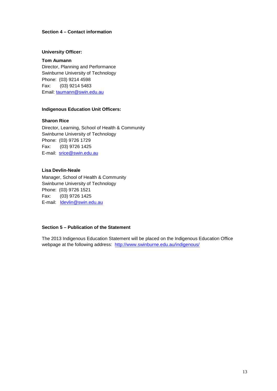# **Section 4 – Contact information**

#### **University Officer:**

**Tom Aumann** Director, Planning and Performance Swinburne University of Technology Phone: (03) 9214 4598 Fax: (03) 9214 5483 Email: [taumann@swin.edu.au](mailto:taumann@swin.edu.au)

#### **Indigenous Education Unit Officers:**

**Sharon Rice**

Director, Learning, School of Health & Community Swinburne University of Technology Phone: (03) 9726 1729 Fax: (03) 9726 1425 E-mail: [srice@swin.edu.au](mailto:srice@swin.edu.au)

#### **Lisa Devlin-Neale**

Manager, School of Health & Community Swinburne University of Technology Phone: (03) 9726 1521 Fax: (03) 9726 1425 E-mail: [ldevlin@swin.edu.au](mailto:ldevlin@swin.edu.au)

# **Section 5 – Publication of the Statement**

The 2013 Indigenous Education Statement will be placed on the Indigenous Education Office webpage at the following address: <http://www.swinburne.edu.au/indigenous/>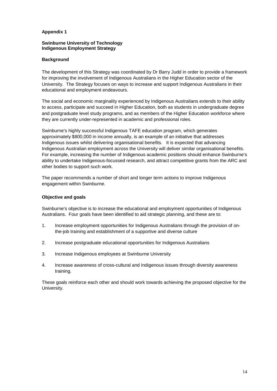#### **Appendix 1**

#### **Swinburne University of Technology Indigenous Employment Strategy**

# **Background**

The development of this Strategy was coordinated by Dr Barry Judd in order to provide a framework for improving the involvement of Indigenous Australians in the Higher Education sector of the University. The Strategy focuses on ways to increase and support Indigenous Australians in their educational and employment endeavours.

The social and economic marginality experienced by Indigenous Australians extends to their ability to access, participate and succeed in Higher Education, both as students in undergraduate degree and postgraduate level study programs, and as members of the Higher Education workforce where they are currently under-represented in academic and professional roles.

Swinburne's highly successful Indigenous TAFE education program, which generates approximately \$800,000 in income annually, is an example of an initiative that addresses Indigenous issues whilst delivering organisational benefits. It is expected that advancing Indigenous Australian employment across the University will deliver similar organisational benefits. For example, increasing the number of Indigenous academic positions should enhance Swinburne's ability to undertake Indigenous-focussed research, and attract competitive grants from the ARC and other bodies to support such work.

The paper recommends a number of short and longer term actions to improve Indigenous engagement within Swinburne.

# **Objective and goals**

Swinburne's objective is to increase the educational and employment opportunities of Indigenous Australians. Four goals have been identified to aid strategic planning, and these are to:

- 1. Increase employment opportunities for Indigenous Australians through the provision of onthe-job training and establishment of a supportive and diverse culture
- 2. Increase postgraduate educational opportunities for Indigenous Australians
- 3. Increase Indigenous employees at Swinburne University
- 4. Increase awareness of cross-cultural and Indigenous issues through diversity awareness training.

These goals reinforce each other and should work towards achieving the proposed objective for the University.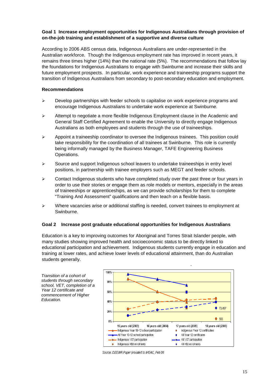# **Goal 1 Increase employment opportunities for Indigenous Australians through provision of on-the-job training and establishment of a supportive and diverse culture**

According to 2006 ABS census data, Indigenous Australians are under-represented in the Australian workforce. Though the Indigenous employment rate has improved in recent years, it remains three times higher (14%) than the national rate (5%). The recommendations that follow lay the foundations for Indigenous Australians to engage with Swinburne and increase their skills and future employment prospects. In particular, work experience and traineeship programs support the transition of Indigenous Australians from secondary to post-secondary education and employment.

# **Recommendations**

- $\triangleright$  Develop partnerships with feeder schools to capitalise on work experience programs and encourage Indigenous Australians to undertake work experience at Swinburne.
- $\geq$  Attempt to negotiate a more flexible Indigenous Employment clause in the Academic and General Staff Certified Agreement to enable the University to directly engage Indigenous Australians as both employees and students through the use of traineeships.
- $\triangleright$  Appoint a traineeship coordinator to oversee the Indigenous trainees. This position could take responsibility for the coordination of all trainees at Swinburne. This role is currently being informally managed by the Business Manager, TAFE Engineering Business Operations.
- $\triangleright$  Source and support Indigenous school leavers to undertake traineeships in entry level positions, in partnership with trainee employers such as MEGT and feeder schools.
- $\triangleright$  Contact Indigenous students who have completed study over the past three or four years in order to use their stories or engage them as role models or mentors, especially in the areas of traineeships or apprenticeships, as we can provide scholarships for them to complete "Training And Assessment" qualifications and then teach on a flexible basis.
- $\triangleright$  Where vacancies arise or additional staffing is needed, convert trainees to employment at Swinburne.

# **Goal 2 Increase post graduate educational opportunities for Indigenous Australians**

Education is a key to improving outcomes for Aboriginal and Torres Strait Islander people, with many studies showing improved health and socioeconomic status to be directly linked to educational participation and achievement. Indigenous students currently engage in education and training at lower rates, and achieve lower levels of educational attainment, than do Australian students generally.

*Transition of a cohort of students through secondary school, VET, completion of a Year 12 certificate and commencement of Higher Education.*



Source: DEEWR Paper provided to IHEAC, Feb 08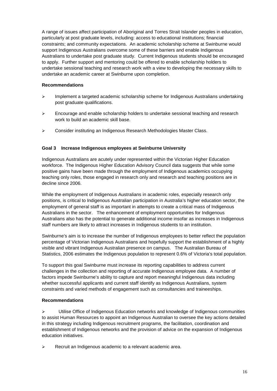A range of issues affect participation of Aboriginal and Torres Strait Islander peoples in education, particularly at post graduate levels, including: access to educational institutions; financial constraints; and community expectations. An academic scholarship scheme at Swinburne would support Indigenous Australians overcome some of these barriers and enable Indigenous Australians to undertake post graduate study. Current Indigenous students should be encouraged to apply. Further support and mentoring could be offered to enable scholarship holders to undertake sessional teaching and research work with a view to developing the necessary skills to undertake an academic career at Swinburne upon completion.

# **Recommendations**

- $\triangleright$  Implement a targeted academic scholarship scheme for Indigenous Australians undertaking post graduate qualifications.
- $\triangleright$  Encourage and enable scholarship holders to undertake sessional teaching and research work to build an academic skill base.
- Consider instituting an Indigenous Research Methodologies Master Class.

# **Goal 3 Increase Indigenous employees at Swinburne University**

Indigenous Australians are acutely under represented within the Victorian Higher Education workforce. The Indigenous Higher Education Advisory Council data suggests that while some positive gains have been made through the employment of Indigenous academics occupying teaching only roles, those engaged in research only and research and teaching positions are in decline since 2006.

While the employment of Indigenous Australians in academic roles, especially research only positions, is critical to Indigenous Australian participation in Australia's higher education sector, the employment of general staff is as important in attempts to create a critical mass of Indigenous Australians in the sector. The enhancement of employment opportunities for Indigenous Australians also has the potential to generate additional income insofar as increases in Indigenous staff numbers are likely to attract increases in Indigenous students to an institution.

Swinburne's aim is to increase the number of Indigenous employees to better reflect the population percentage of Victorian Indigenous Australians and hopefully support the establishment of a highly visible and vibrant Indigenous Australian presence on campus. The Australian Bureau of Statistics, 2006 estimates the Indigenous population to represent 0.6% of Victoria's total population.

To support this goal Swinburne must increase its reporting capabilities to address current challenges in the collection and reporting of accurate Indigenous employee data. A number of factors impede Swinburne's ability to capture and report meaningful Indigenous data including whether successful applicants and current staff identify as Indigenous Australians, system constraints and varied methods of engagement such as consultancies and traineeships.

#### **Recommendations**

 $\triangleright$  Utilise Office of Indigenous Education networks and knowledge of Indigenous communities to assist Human Resources to appoint an Indigenous Australian to oversee the key actions detailed in this strategy including Indigenous recruitment programs, the facilitation, coordination and establishment of Indigenous networks and the provision of advice on the expansion of Indigenous education initiatives.

**EXEC EXECT** Recruit an Indigenous academic to a relevant academic area.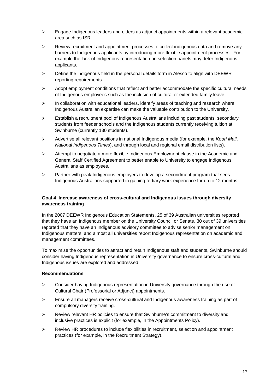- $\triangleright$  Engage Indigenous leaders and elders as adjunct appointments within a relevant academic area such as ISR.
- $\triangleright$  Review recruitment and appointment processes to collect indigenous data and remove any barriers to Indigenous applicants by introducing more flexible appointment processes. For example the lack of Indigenous representation on selection panels may deter Indigenous applicants.
- $\triangleright$  Define the indigenous field in the personal details form in Alesco to align with DEEWR reporting requirements.
- $\triangleright$  Adopt employment conditions that reflect and better accommodate the specific cultural needs of Indigenous employees such as the inclusion of cultural or extended family leave.
- $\triangleright$  In collaboration with educational leaders, identify areas of teaching and research where Indigenous Australian expertise can make the valuable contribution to the University.
- $\triangleright$  Establish a recruitment pool of Indigenous Australians including past students, secondary students from feeder schools and the Indigenous students currently receiving tuition at Swinburne (currently 130 students).
- Advertise all relevant positions in national Indigenous media (for example, the *Koori Mail*, *National Indigenous Times*), and through local and regional email distribution lists).
- $\triangleright$  Attempt to negotiate a more flexible Indigenous Employment clause in the Academic and General Staff Certified Agreement to better enable to University to engage Indigenous Australians as employees.
- $\triangleright$  Partner with peak Indigenous employers to develop a secondment program that sees Indigenous Australians supported in gaining tertiary work experience for up to 12 months.

# **Goal 4 Increase awareness of cross-cultural and Indigenous issues through diversity awareness training**

In the 2007 DEEWR Indigenous Education Statements, 25 of 39 Australian universities reported that they have an Indigenous member on the University Council or Senate, 30 out of 39 universities reported that they have an Indigenous advisory committee to advise senior management on Indigenous matters, and almost all universities report Indigenous representation on academic and management committees.

To maximise the opportunities to attract and retain Indigenous staff and students, Swinburne should consider having Indigenous representation in University governance to ensure cross-cultural and Indigenous issues are explored and addressed.

#### **Recommendations**

- $\triangleright$  Consider having Indigenous representation in University governance through the use of Cultural Chair (Professorial or Adjunct) appointments.
- $\geq$  Ensure all managers receive cross-cultural and Indigenous awareness training as part of compulsory diversity training.
- $\triangleright$  Review relevant HR policies to ensure that Swinburne's commitment to diversity and inclusive practices is explicit (for example, in the Appointments Policy).
- $\triangleright$  Review HR procedures to include flexibilities in recruitment, selection and appointment practices (for example, in the Recruitment Strategy).